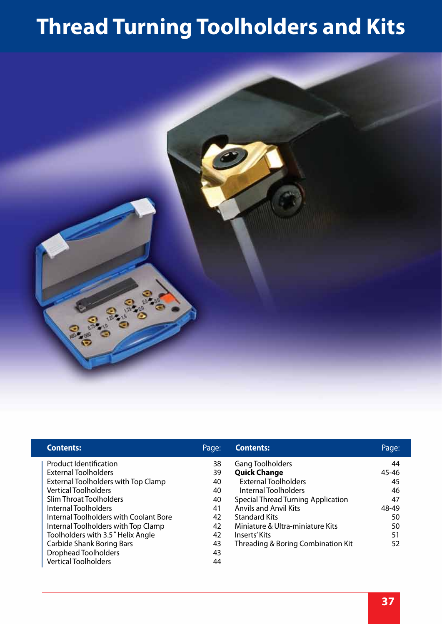# **Thread Turning Toolholders and Kits**



| <b>Contents:</b>                       | Page: | <b>Contents:</b>                          | Page: |
|----------------------------------------|-------|-------------------------------------------|-------|
| <b>Product Identification</b>          | 38    | <b>Gang Toolholders</b>                   | 44    |
| <b>External Toolholders</b>            | 39    | <b>Quick Change</b>                       | 45-46 |
| External Toolholders with Top Clamp    | 40    | <b>External Toolholders</b>               | 45    |
| <b>Vertical Toolholders</b>            | 40    | Internal Toolholders                      | 46    |
| Slim Throat Toolholders                | 40    | <b>Special Thread Turning Application</b> | 47    |
| Internal Toolholders                   | 41    | <b>Anvils and Anvil Kits</b>              | 48-49 |
| Internal Toolholders with Coolant Bore | 42    | <b>Standard Kits</b>                      | 50    |
| Internal Toolholders with Top Clamp    | 42    | Miniature & Ultra-miniature Kits          | 50    |
| Toolholders with 3.5° Helix Angle      | 42    | Inserts' Kits                             | 51    |
| <b>Carbide Shank Boring Bars</b>       | 43    | Threading & Boring Combination Kit        | 52    |
| <b>Drophead Toolholders</b>            | 43    |                                           |       |
| <b>Vertical Toolholders</b>            | 44    |                                           |       |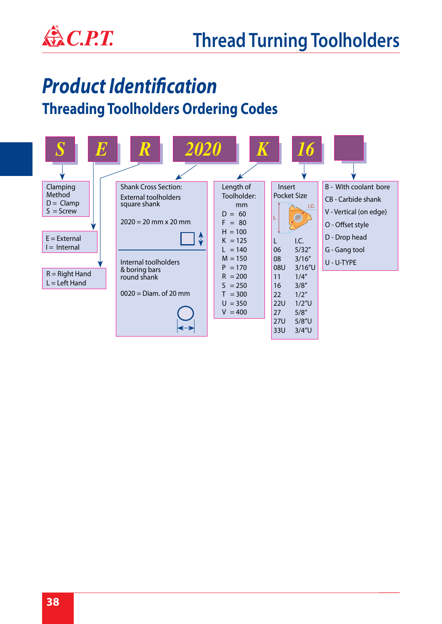

# *Product Identification*

#### **Threading Toolholders Ordering Codes**

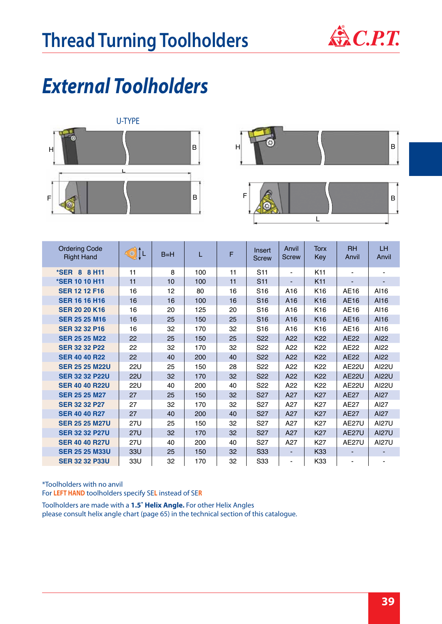

## *External Toolholders*





| <b>Ordering Code</b><br><b>Right Hand</b> | <b>KOLL</b> | $B=H$ | L   | F  | Insert<br><b>Screw</b> | Anvil<br><b>Screw</b>        | Torx<br>Key     | <b>RH</b><br>Anvil | <b>LH</b><br>Anvil |
|-------------------------------------------|-------------|-------|-----|----|------------------------|------------------------------|-----------------|--------------------|--------------------|
| *SER 8 8 H11                              | 11          | 8     | 100 | 11 | S <sub>11</sub>        | ٠                            | K <sub>11</sub> |                    | $\blacksquare$     |
| *SER 10 10 H11                            | 11          | 10    | 100 | 11 | S <sub>11</sub>        |                              | K11             |                    |                    |
| <b>SER 12 12 F16</b>                      | 16          | 12    | 80  | 16 | S <sub>16</sub>        | A16                          | K <sub>16</sub> | AE16               | AI16               |
| <b>SER 16 16 H16</b>                      | 16          | 16    | 100 | 16 | S <sub>16</sub>        | A16                          | K <sub>16</sub> | AE16               | AI16               |
| <b>SER 20 20 K16</b>                      | 16          | 20    | 125 | 20 | S <sub>16</sub>        | A16                          | K <sub>16</sub> | AE16               | AI16               |
| <b>SER 25 25 M16</b>                      | 16          | 25    | 150 | 25 | S <sub>16</sub>        | A <sub>16</sub>              | K <sub>16</sub> | AE16               | A116               |
| <b>SER 32 32 P16</b>                      | 16          | 32    | 170 | 32 | S <sub>16</sub>        | A <sub>16</sub>              | K16             | AE16               | AI16               |
| <b>SER 25 25 M22</b>                      | 22          | 25    | 150 | 25 | S <sub>22</sub>        | A22                          | K22             | <b>AE22</b>        | AI22               |
| <b>SER 32 32 P22</b>                      | 22          | 32    | 170 | 32 | S <sub>22</sub>        | A22                          | K <sub>22</sub> | AE22               | AI22               |
| <b>SER 40 40 R22</b>                      | 22          | 40    | 200 | 40 | S <sub>22</sub>        | A22                          | K22             | <b>AE22</b>        | AI22               |
| <b>SER 25 25 M22U</b>                     | <b>22U</b>  | 25    | 150 | 28 | S <sub>22</sub>        | A22                          | K <sub>22</sub> | AE22U              | AI22U              |
| <b>SER 32 32 P22U</b>                     | 22U         | 32    | 170 | 32 | S <sub>22</sub>        | A22                          | K <sub>22</sub> | <b>AE22U</b>       | AI22U              |
| <b>SER 40 40 R22U</b>                     | <b>22U</b>  | 40    | 200 | 40 | S <sub>22</sub>        | A22                          | K <sub>22</sub> | AE22U              | AI22U              |
| <b>SER 25 25 M27</b>                      | 27          | 25    | 150 | 32 | S <sub>27</sub>        | A27                          | <b>K27</b>      | <b>AE27</b>        | AI27               |
| <b>SER 32 32 P27</b>                      | 27          | 32    | 170 | 32 | S <sub>27</sub>        | A27                          | K27             | <b>AE27</b>        | AI27               |
| <b>SER 40 40 R27</b>                      | 27          | 40    | 200 | 40 | S <sub>27</sub>        | A27                          | <b>K27</b>      | <b>AE27</b>        | AI27               |
| <b>SER 25 25 M27U</b>                     | <b>27U</b>  | 25    | 150 | 32 | S <sub>27</sub>        | A27                          | K27             | AE27U              | <b>AI27U</b>       |
| <b>SER 32 32 P27U</b>                     | <b>27U</b>  | 32    | 170 | 32 | <b>S27</b>             | A27                          | <b>K27</b>      | AE27U              | <b>AI27U</b>       |
| <b>SER 40 40 R27U</b>                     | 27U         | 40    | 200 | 40 | S <sub>27</sub>        | A27                          | K27             | <b>AE27U</b>       | <b>AI27U</b>       |
| <b>SER 25 25 M33U</b>                     | 33U         | 25    | 150 | 32 | S33                    |                              | K33             | $\blacksquare$     | -                  |
| <b>SER 32 32 P33U</b>                     | 33U         | 32    | 170 | 32 | S33                    | $\qquad \qquad \blacksquare$ | K33             |                    |                    |

\*Toolholders with no anvil

For **LEFT HAND** toolholders specify SE**L** instead of SE**R**

Toolholders are made with a **1.5˚ Helix Angle.** For other Helix Angles please consult helix angle chart (page 65) in the technical section of this catalogue.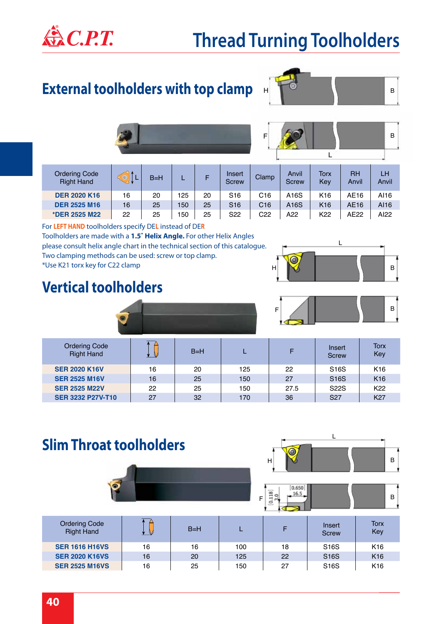

### **Thread Turning Toolholders**

### **External toolholders with top clamp**



 $\mathbf{L}$ 

LH Anvil

B



| <b>Ordering Code</b><br><b>Right Hand</b> |    | $B=H$ |     |    | Insert<br><b>Screw</b> | Clamp           | Anvil<br>Screw | Torx<br>Kev     | RH<br>Anvil | LH<br>Anvi |
|-------------------------------------------|----|-------|-----|----|------------------------|-----------------|----------------|-----------------|-------------|------------|
| <b>DER 2020 K16</b>                       | 16 | 20    | 125 | 20 | S <sub>16</sub>        | C <sub>16</sub> | A16S           | K <sub>16</sub> | AE16        | AI16       |
| <b>DER 2525 M16</b>                       | 16 | 25    | 150 | 25 | S <sub>16</sub>        | C16             | A16S           | K <sub>16</sub> | AE16        | A116       |
| *DER 2525 M22                             | 22 | 25    | 150 | 25 | S <sub>22</sub>        | C22             | A22            | K22             | AE22        | AI22       |

For **LEFT HAND** toolholders specify DE**L** instead of DE**R** Toolholders are made with a **1.5˚ Helix Angle.** For other Helix Angles please consult helix angle chart in the technical section of this catalogue. Two clamping methods can be used: screw or top clamp. \*Use K21 torx key for C22 clamp

#### **Vertical toolholders**





| <b>Ordering Code</b><br><b>Right Hand</b> |    | $B=H$ |     | F    | Insert<br><b>Screw</b> | Torx<br>Key     |
|-------------------------------------------|----|-------|-----|------|------------------------|-----------------|
| <b>SER 2020 K16V</b>                      | 16 | 20    | 125 | 22   | S <sub>16</sub> S      | K <sub>16</sub> |
| <b>SER 2525 M16V</b>                      | 16 | 25    | 150 | 27   | S <sub>16</sub> S      | K <sub>16</sub> |
| <b>SER 2525 M22V</b>                      | 22 | 25    | 150 | 27.5 | <b>S22S</b>            | K <sub>22</sub> |
| <b>SER 3232 P27V-T10</b>                  | 27 | 32    | 170 | 36   | S <sub>27</sub>        | K27             |

#### **Slim Throat toolholders**





| <b>Ordering Code</b><br><b>Right Hand</b> |    | $B=H$ |     |    | Insert<br><b>Screw</b> | Torx<br>Key     |
|-------------------------------------------|----|-------|-----|----|------------------------|-----------------|
| <b>SER 1616 H16VS</b>                     | 16 | 16    | 100 | 18 | S <sub>16</sub> S      | K <sub>16</sub> |
| <b>SER 2020 K16VS</b>                     | 16 | 20    | 125 | 22 | S <sub>16</sub> S      | K <sub>16</sub> |
| <b>SER 2525 M16VS</b>                     | 16 | 25    | 150 | 27 | S <sub>16</sub> S      | K <sub>16</sub> |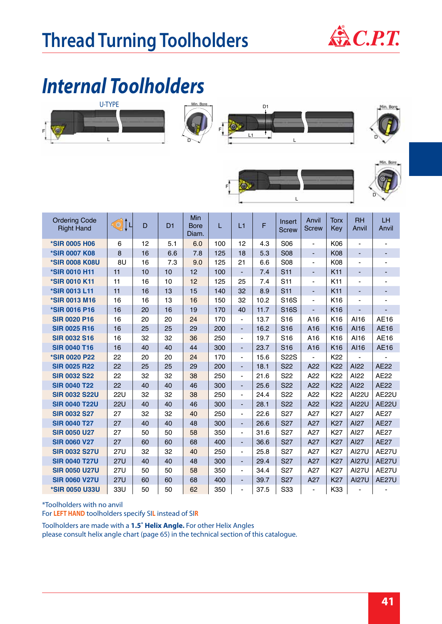

## *Internal Toolholders*







 $\mathbf{L}$ 



Min. Bore



F

\*Toolholders with no anvil For **LEFT HAND** toolholders specify SI**L** instead of SI**R**

Toolholders are made with a **1.5˚ Helix Angle.** For other Helix Angles

please consult helix angle chart (page 65) in the technical section of this catalogue.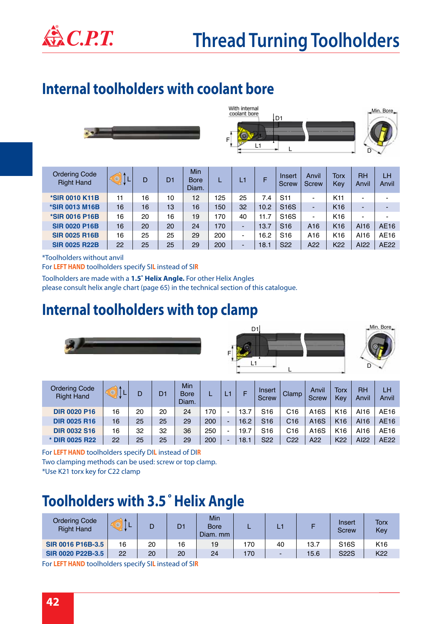

### **Internal toolholders with coolant bore**





| <b>Ordering Code</b><br><b>Right Hand</b> | $\circledcirc$ | D  | D <sub>1</sub> | <b>Min</b><br><b>Bore</b><br>Diam. |     | L. | F    | Insert<br><b>Screw</b> | Anvil<br><b>Screw</b>    | <b>Torx</b><br>Key | <b>RH</b><br>Anvil | LH<br>Anvil |
|-------------------------------------------|----------------|----|----------------|------------------------------------|-----|----|------|------------------------|--------------------------|--------------------|--------------------|-------------|
| *SIR 0010 K11B                            | 11             | 16 | 10             | 12                                 | 125 | 25 | 7.4  | S <sub>11</sub>        | $\blacksquare$           | K11                | -                  |             |
| *SIR 0013 M16B                            | 16             | 16 | 13             | 16                                 | 50  | 32 | 10.2 | <b>S16S</b>            | $\overline{\phantom{a}}$ | K <sub>16</sub>    |                    |             |
| <b>*SIR 0016 P16B</b>                     | 16             | 20 | 16             | 19                                 | 170 | 40 | 11.7 | S <sub>16</sub> S      | $\blacksquare$           | K <sub>16</sub>    | -                  |             |
| <b>SIR 0020 P16B</b>                      | 16             | 20 | 20             | 24                                 | 170 |    | 13.7 | S <sub>16</sub>        | A <sub>16</sub>          | K <sub>16</sub>    | AI16               | AE16        |
| <b>SIR 0025 R16B</b>                      | 16             | 25 | 25             | 29                                 | 200 | -  | 16.2 | S <sub>16</sub>        | A <sub>16</sub>          | K <sub>16</sub>    | AI16               | AE16        |
| <b>SIR 0025 R22B</b>                      | 22             | 25 | 25             | 29                                 | 200 | -  | 18.1 | S <sub>22</sub>        | A22                      | K22                | AI22               | <b>AE22</b> |

\*Toolholders without anvil

For **LEFT HAND** toolholders specify SI**L** instead of SI**R**

Toolholders are made with a **1.5˚ Helix Angle.** For other Helix Angles please consult helix angle chart (page 65) in the technical section of this catalogue.

#### **Internal toolholders with top clamp**







| <b>Ordering Code</b><br><b>Right Hand</b> | <u> 40</u> | D  | D1 | Min<br><b>Bore</b><br>Diam. |     |                          |      | Insert<br><b>Screw</b> | Clamp           | Anvil<br><b>Screw</b> | Torx<br>Kev     | <b>RH</b><br>Anvil | LH<br>Anvil |
|-------------------------------------------|------------|----|----|-----------------------------|-----|--------------------------|------|------------------------|-----------------|-----------------------|-----------------|--------------------|-------------|
| <b>DIR 0020 P16</b>                       | 16         | 20 | 20 | 24                          | 170 | $\blacksquare$           | 13.7 | S <sub>16</sub>        | C16             | A16S                  | K <sub>16</sub> | AI16               | AE16        |
| <b>DIR 0025 R16</b>                       | 16         | 25 | 25 | 29                          | 200 | -                        | 16.2 | S <sub>16</sub>        | C16             | A16S                  | K <sub>16</sub> | A116               | AE16        |
| <b>DIR 0032 S16</b>                       | 16         | 32 | 32 | 36                          | 250 | $\overline{\phantom{0}}$ | 19.7 | S <sub>16</sub>        | C16             | A16S                  | K <sub>16</sub> | A116               | AE16        |
| * DIR 0025 R22                            | 22         | 25 | 25 | 29                          | 200 | $\overline{\phantom{0}}$ | 18.1 | S22                    | C <sub>22</sub> | A22                   | K <sub>22</sub> | AI22               | AE22        |

For **LEFT HAND** toolholders specify DI**L** instead of DI**R** Two clamping methods can be used: screw or top clamp. \*Use K21 torx key for C22 clamp

#### **Toolholders with 3.5***˚* **Helix Angle**

| <b>Ordering Code</b><br><b>Right Hand</b> | L  |    | D1 | Min<br><b>Bore</b><br>Diam, mm |     |    |      | Insert<br><b>Screw</b> | Torx<br>Key     |
|-------------------------------------------|----|----|----|--------------------------------|-----|----|------|------------------------|-----------------|
| SIR 0016 P16B-3.5                         | 16 | 20 | 16 | 19                             | 170 | 40 | 13.7 | S <sub>16</sub> S      | K <sub>16</sub> |
| SIR 0020 P22B-3.5                         | 22 | 20 | 20 | 24                             | 170 |    | 15.6 | <b>S22S</b>            | K <sub>22</sub> |
|                                           |    |    | .  |                                |     |    |      |                        |                 |

For **LEFT HAND** toolholders specify SI**L** instead of SI**R**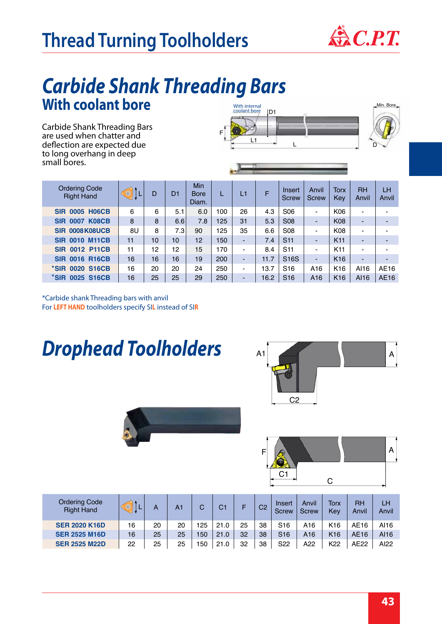# Thread Turning Toolholders &C.P.T.



### **With coolant bore** *Carbide Shank Threading Bars*

Carbide Shank Threading Bars are used when chatter and deflection are expected due to long overhang in deep small bores.



| <b>Ordering Code</b><br><b>Right Hand</b> | ∢⊚ | D  | D <sub>1</sub> | <b>Min</b><br><b>Bore</b><br>Diam. |     | L1                       |      | Insert<br><b>Screw</b> | Anvil<br><b>Screw</b>    | <b>Torx</b><br>Key | <b>RH</b><br>Anvil       | LH<br>Anvil              |
|-------------------------------------------|----|----|----------------|------------------------------------|-----|--------------------------|------|------------------------|--------------------------|--------------------|--------------------------|--------------------------|
| <b>SIR 0005 H06CB</b>                     | 6  | 6  | 5.1            | 6.0                                | 100 | 26                       | 4.3  | S <sub>06</sub>        | $\blacksquare$           | K06                | $\blacksquare$           | -                        |
| <b>SIR 0007 K08CB</b>                     | 8  | 8  | 6.6            | 7.8                                | 125 | 31                       | 5.3  | <b>S08</b>             | $\blacksquare$           | <b>K08</b>         |                          |                          |
| SIR 0008K08UCB                            | 8U | 8  | 7.3            | 90                                 | 125 | 35                       | 6.6  | S <sub>08</sub>        | $\blacksquare$           | K08                | $\overline{\phantom{0}}$ |                          |
| <b>SIR 0010 M11CB</b>                     | 11 | 10 | 10             | 12                                 | 150 | ٠                        | 7.4  | S <sub>11</sub>        | -                        | K <sub>11</sub>    |                          | -                        |
| <b>SIR 0012 P11CB</b>                     | 11 | 12 | 12             | 15 <sub>1</sub>                    | 170 | $\blacksquare$           | 8.4  | S <sub>11</sub>        | $\blacksquare$           | K <sub>11</sub>    | -                        | -                        |
| <b>SIR 0016 R16CB</b>                     | 16 | 16 | 16             | 19                                 | 200 | $\blacksquare$           | 11.7 | S <sub>16</sub> S      | $\overline{\phantom{a}}$ | K <sub>16</sub>    |                          | $\overline{\phantom{0}}$ |
| *SIR 0020 S16CB                           | 16 | 20 | 20             | 24                                 | 250 | ٠                        | 13.7 | S <sub>16</sub>        | A16                      | K <sub>16</sub>    | AI16                     | AE16                     |
| *SIR 0025 S16CB                           | 16 | 25 | 25             | 29                                 | 250 | $\overline{\phantom{0}}$ | 16.2 | S <sub>16</sub>        | A <sub>16</sub>          | K <sub>16</sub>    | AI16                     | <b>AE16</b>              |

\*Carbide shank Threading bars with anvil For **LEFT HAND** toolholders specify SI**L** instead of SI**R**

*Drophead Toolholders*





| <b>Ordering Code</b><br><b>Right Hand</b> |    | А  | A1 |     | C1   |    | C <sub>2</sub> | Insert<br>Screw | Anvil<br><b>Screw</b> | <b>Torx</b><br>Kev | RH<br>Anvil | LH<br>Anvil |
|-------------------------------------------|----|----|----|-----|------|----|----------------|-----------------|-----------------------|--------------------|-------------|-------------|
| <b>SER 2020 K16D</b>                      | 16 | 20 | 20 | 125 | 21.0 | 25 | 38             | S <sub>16</sub> | A16                   | K <sub>16</sub>    | AE16        | A116        |
| <b>SER 2525 M16D</b>                      | 16 | 25 | 25 | 150 | 21.0 | 32 | 38             | S <sub>16</sub> | A16                   | K <sub>16</sub>    | AE16        | AI16        |
| <b>SER 2525 M22D</b>                      | 22 | 25 | 25 | 150 | 21.0 | 32 | 38             | S <sub>22</sub> | A22                   | K <sub>22</sub>    | AE22        | AI22        |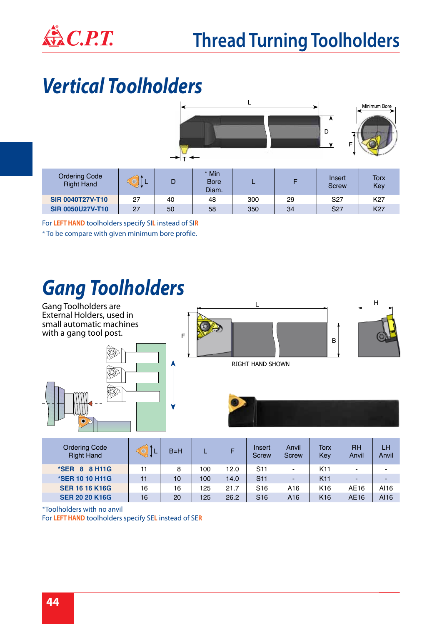

### *Vertical Toolholders*



For **LEFT HAND** toolholders specify SI**L** instead of SI**R**

\* To be compare with given minimum bore profile.

### *Gang Toolholders*



| <b>Ordering Code</b><br><b>Right Hand</b> |    | $B=H$ |     |      | Insert<br>Screw | Anvil<br><b>Screw</b> | Torx<br>Key     | <b>RH</b><br>Anvil       | LH<br>Anvil |
|-------------------------------------------|----|-------|-----|------|-----------------|-----------------------|-----------------|--------------------------|-------------|
| *SER 8 8 H11G                             | 11 | 8     | 100 | 12.0 | S <sub>11</sub> | $\blacksquare$        | K <sub>11</sub> | $\overline{\phantom{a}}$ |             |
| <b>*SER 10 10 H11G</b>                    | 11 | 10    | 100 | 14.0 | <b>S11</b>      | ٠                     | K <sub>11</sub> | $\overline{\phantom{0}}$ |             |
| <b>SER 16 16 K16G</b>                     | 16 | 16    | 125 | 21.7 | S <sub>16</sub> | A <sub>16</sub>       | K <sub>16</sub> | AE16                     | AI16        |
| <b>SER 20 20 K16G</b>                     | 16 | 20    | 125 | 26.2 | S <sub>16</sub> | A <sub>16</sub>       | K <sub>16</sub> | AE16                     | AI16        |

\*Toolholders with no anvil

For **LEFT HAND** toolholders specify SE**L** instead of SE**R**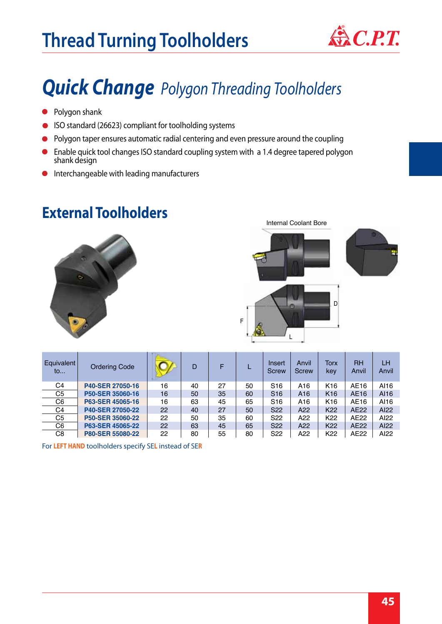

### *Quick Change Polygon Threading Toolholders*

- **•** Polygon shank
- ISO standard (26623) compliant for toolholding systems
- Polygon taper ensures automatic radial centering and even pressure around the coupling  $\bullet$
- Enable quick tool changes ISO standard coupling system with a 1.4 degree tapered polygon shank design
- Interchangeable with leading manufacturers  $\bullet$

### **External Toolholders**





| Equivalent<br>$\mathsf{to}$ | <b>Ordering Code</b>    |    | D  |    |    | Insert<br><b>Screw</b> | Anvil<br><b>Screw</b> | <b>Torx</b><br>kev | <b>RH</b><br>Anvil | LH<br>Anvil |
|-----------------------------|-------------------------|----|----|----|----|------------------------|-----------------------|--------------------|--------------------|-------------|
| C <sub>4</sub>              | P40-SER 27050-16        | 16 | 40 | 27 | 50 | S <sub>16</sub>        | A16                   | K <sub>16</sub>    | AE16               | AI16        |
| C <sub>5</sub>              | P50-SER 35060-16        | 16 | 50 | 35 | 60 | S <sub>16</sub>        | A <sub>16</sub>       | K <sub>16</sub>    | AE16               | AI16        |
| C <sub>6</sub>              | P63-SER 45065-16        | 16 | 63 | 45 | 65 | S <sub>16</sub>        | A16                   | K <sub>16</sub>    | AE16               | AI16        |
| C <sub>4</sub>              | P40-SER 27050-22        | 22 | 40 | 27 | 50 | S <sub>22</sub>        | A22                   | K <sub>22</sub>    | AE22               | AI22        |
| C <sub>5</sub>              | P50-SER 35060-22        | 22 | 50 | 35 | 60 | S <sub>22</sub>        | A22                   | K <sub>22</sub>    | AE22               | AI22        |
| C <sub>6</sub>              | P63-SER 45065-22        | 22 | 63 | 45 | 65 | S <sub>22</sub>        | A22                   | K <sub>22</sub>    | AE22               | AI22        |
| C <sub>8</sub>              | <b>P80-SER 55080-22</b> | 22 | 80 | 55 | 80 | S <sub>22</sub>        | A22                   | K <sub>22</sub>    | AE22               | AI22        |

For **LEFT HAND** toolholders specify SE**L** instead of SE**R**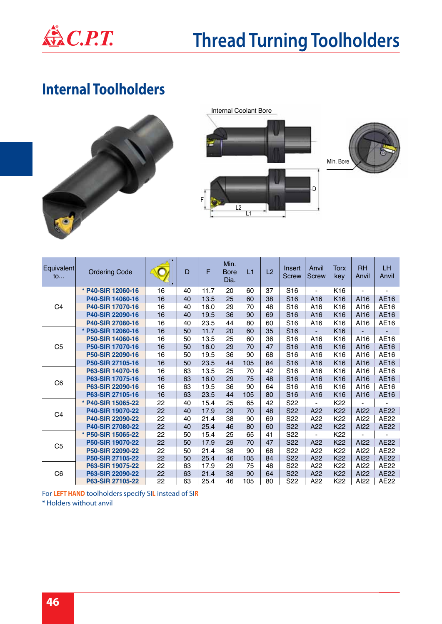

### **Internal Toolholders**







| Equivalent<br>$\mathsf{to}$ | <b>Ordering Code</b> | $\mathbf{r}$ | D  | F    | Min.<br><b>Bore</b><br>Dia. | L1  | L2 | Insert<br><b>Screw</b> | Anvil<br><b>Screw</b>        | <b>Torx</b><br>key | <b>RH</b><br>Anvil | LH<br>Anvil |
|-----------------------------|----------------------|--------------|----|------|-----------------------------|-----|----|------------------------|------------------------------|--------------------|--------------------|-------------|
|                             | * P40-SIR 12060-16   | 16           | 40 | 11.7 | 20                          | 60  | 37 | S <sub>16</sub>        | $\blacksquare$               | K <sub>16</sub>    |                    |             |
|                             | P40-SIR 14060-16     | 16           | 40 | 13.5 | 25                          | 60  | 38 | S <sub>16</sub>        | A16                          | K16                | AI16               | AE16        |
| C <sub>4</sub>              | P40-SIR 17070-16     | 16           | 40 | 16.0 | 29                          | 70  | 48 | S <sub>16</sub>        | A <sub>16</sub>              | K <sub>16</sub>    | AI16               | AE16        |
|                             | P40-SIR 22090-16     | 16           | 40 | 19.5 | 36                          | 90  | 69 | S <sub>16</sub>        | A <sub>16</sub>              | K <sub>16</sub>    | AI16               | AE16        |
|                             | P40-SIR 27080-16     | 16           | 40 | 23.5 | 44                          | 80  | 60 | S <sub>16</sub>        | A16                          | K <sub>16</sub>    | AI16               | AE16        |
|                             | * P50-SIR 12060-16   | 16           | 50 | 11.7 | 20                          | 60  | 35 | S <sub>16</sub>        | $\qquad \qquad \blacksquare$ | K <sub>16</sub>    |                    | -           |
|                             | P50-SIR 14060-16     | 16           | 50 | 13.5 | 25                          | 60  | 36 | S <sub>16</sub>        | A <sub>16</sub>              | K16                | AI16               | AE16        |
| C <sub>5</sub>              | P50-SIR 17070-16     | 16           | 50 | 16.0 | 29                          | 70  | 47 | S <sub>16</sub>        | A <sub>16</sub>              | K <sub>16</sub>    | AI16               | AE16        |
|                             | P50-SIR 22090-16     | 16           | 50 | 19.5 | 36                          | 90  | 68 | S <sub>16</sub>        | A <sub>16</sub>              | K <sub>16</sub>    | AI16               | AE16        |
|                             | P50-SIR 27105-16     | 16           | 50 | 23.5 | 44                          | 105 | 84 | S <sub>16</sub>        | A <sub>16</sub>              | K <sub>16</sub>    | AI16               | AE16        |
|                             | P63-SIR 14070-16     | 16           | 63 | 13.5 | 25                          | 70  | 42 | S <sub>16</sub>        | A16                          | K <sub>16</sub>    | AI16               | AE16        |
| C <sub>6</sub>              | P63-SIR 17075-16     | 16           | 63 | 16.0 | 29                          | 75  | 48 | S <sub>16</sub>        | A16                          | K <sub>16</sub>    | AI16               | AE16        |
|                             | P63-SIR 22090-16     | 16           | 63 | 19.5 | 36                          | 90  | 64 | S <sub>16</sub>        | A <sub>16</sub>              | K <sub>16</sub>    | AI16               | AE16        |
|                             | P63-SIR 27105-16     | 16           | 63 | 23.5 | 44                          | 105 | 80 | S <sub>16</sub>        | A <sub>16</sub>              | K <sub>16</sub>    | AI16               | AE16        |
|                             | * P40-SIR 15065-22   | 22           | 40 | 15.4 | 25                          | 65  | 42 | S <sub>22</sub>        |                              | K <sub>22</sub>    |                    |             |
| C <sub>4</sub>              | P40-SIR 19070-22     | 22           | 40 | 17.9 | 29                          | 70  | 48 | S <sub>22</sub>        | A22                          | K <sub>22</sub>    | AI22               | <b>AE22</b> |
|                             | P40-SIR 22090-22     | 22           | 40 | 21.4 | 38                          | 90  | 69 | S <sub>22</sub>        | A22                          | K <sub>22</sub>    | AI22               | AE22        |
|                             | P40-SIR 27080-22     | 22           | 40 | 25.4 | 46                          | 80  | 60 | S <sub>22</sub>        | A22                          | K <sub>22</sub>    | AI22               | <b>AE22</b> |
|                             | * P50-SIR 15065-22   | 22           | 50 | 15.4 | 25                          | 65  | 41 | S <sub>22</sub>        |                              | K <sub>22</sub>    |                    |             |
| C <sub>5</sub>              | P50-SIR 19070-22     | 22           | 50 | 17.9 | 29                          | 70  | 47 | S22                    | A22                          | K22                | AI22               | <b>AE22</b> |
|                             | P50-SIR 22090-22     | 22           | 50 | 21.4 | 38                          | 90  | 68 | S <sub>22</sub>        | A22                          | K <sub>22</sub>    | AI22               | AE22        |
|                             | P50-SIR 27105-22     | 22           | 50 | 25.4 | 46                          | 105 | 84 | S <sub>22</sub>        | A22                          | K22                | AI22               | <b>AE22</b> |
|                             | P63-SIR 19075-22     | 22           | 63 | 17.9 | 29                          | 75  | 48 | S <sub>22</sub>        | A22                          | K <sub>22</sub>    | AI22               | AE22        |
| C <sub>6</sub>              | P63-SIR 22090-22     | 22           | 63 | 21.4 | 38                          | 90  | 64 | S <sub>22</sub>        | A22                          | K22                | AI22               | <b>AE22</b> |
|                             | P63-SIR 27105-22     | 22           | 63 | 25.4 | 46                          | 105 | 80 | S <sub>22</sub>        | A22                          | K <sub>22</sub>    | AI22               | AE22        |

For **LEFT HAND** toolholders specify SI**L** instead of SI**R** \* Holders without anvil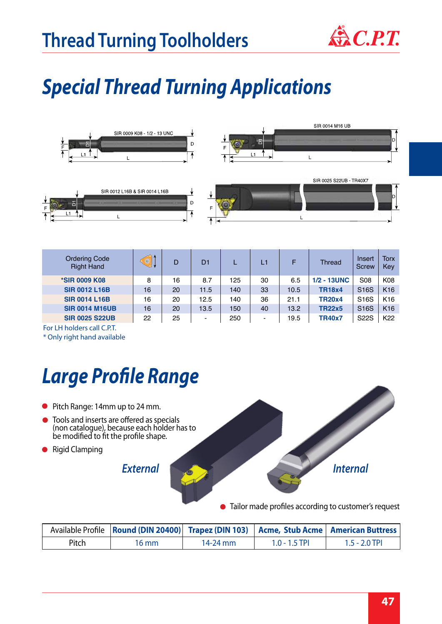

## *Special Thread Turning Applications*



| <b>Ordering Code</b><br><b>Right Hand</b> | $\left\langle \circ \right\rangle$ | D  | D <sub>1</sub> | ┗   | L1                       | F    | Thread         | Insert<br><b>Screw</b> | Torx<br>Key     |
|-------------------------------------------|------------------------------------|----|----------------|-----|--------------------------|------|----------------|------------------------|-----------------|
| <b>*SIR 0009 K08</b>                      | 8                                  | 16 | 8.7            | 125 | 30                       | 6.5  | $1/2 - 13$ UNC | <b>S08</b>             | K08             |
| <b>SIR 0012 L16B</b>                      | 16                                 | 20 | 11.5           | 140 | 33                       | 10.5 | <b>TR18x4</b>  | S <sub>16</sub> S      | K <sub>16</sub> |
| <b>SIR 0014 L16B</b>                      | 16                                 | 20 | 12.5           | 140 | 36                       | 21.1 | <b>TR20x4</b>  | S <sub>16</sub> S      | K <sub>16</sub> |
| <b>SIR 0014 M16UB</b>                     | 16                                 | 20 | 13.5           | 150 | 40                       | 13.2 | <b>TR22x5</b>  | S <sub>16</sub> S      | K <sub>16</sub> |
| <b>SIR 0025 S22UB</b>                     | 22                                 | 25 | $\blacksquare$ | 250 | $\overline{\phantom{a}}$ | 19.5 | <b>TR40x7</b>  | <b>S22S</b>            | K <sub>22</sub> |

For LH holders call C.P.T. \* Only right hand available

## *Large Profile Range*

- Pitch Range: 14mm up to 24 mm.
- Tools and inserts are offered as specials (non catalogue), because each holder has to be modified to fit the profile shape.
- **•** Rigid Clamping

*External*



Tailor made profiles according to customer's request

|              | Available Profile   Round (DIN 20400)   Trapez (DIN 103)   Acme, Stub Acme   American Buttress |          |                 |                 |
|--------------|------------------------------------------------------------------------------------------------|----------|-----------------|-----------------|
| <b>Pitch</b> | 16 mm                                                                                          | 14-24 mm | $1.0 - 1.5$ TPI | $1.5 - 2.0$ TPI |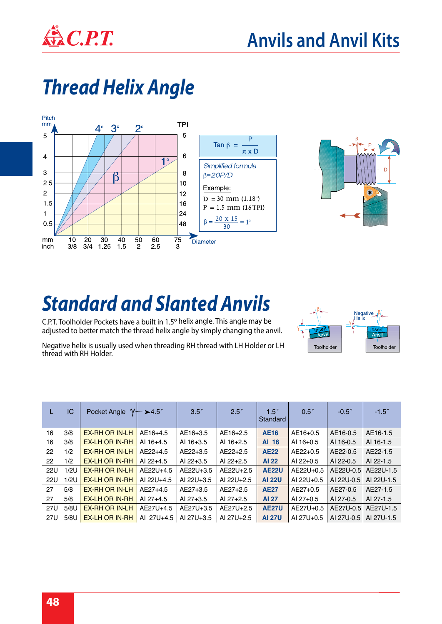

## *Thread Helix Angle*





## *Standard and Slanted Anvils*

C.P.T. Toolholder Pockets have a built in 1.5º helix angle. This angle may be adjusted to better match the thread helix angle by simply changing the anvil.

Negative<br>Helix Toolholder Toolholder

Negative helix is usually used when threading RH thread with LH Holder or LH thread with RH Holder.

|            | IC   | Pocket Angle          | $\gamma \rightarrow 4.5^{\circ}$ | $3.5^\circ$ | $2.5^\circ$ | $1.5^\circ$<br>Standard | $0.5^\circ$ | $-0.5$ °   | $-1.5$ °   |
|------------|------|-----------------------|----------------------------------|-------------|-------------|-------------------------|-------------|------------|------------|
| 16         | 3/8  | <b>EX-RH OR IN-LH</b> | AE16+4.5                         | AE16+3.5    | AE16+2.5    | <b>AE16</b>             | AE16+0.5    | AE16-0.5   | AE16-1.5   |
| 16         | 3/8  | <b>EX-LH OR IN-RH</b> | AI 16+4.5                        | AI 16+3.5   | AI 16+2.5   | AI 16                   | AI 16+0.5   | AI 16-0.5  | AI 16-1.5  |
| 22         | 1/2  | <b>EX-RH OR IN-LH</b> | AE22+4.5                         | AE22+3.5    | AE22+2.5    | <b>AE22</b>             | AE22+0.5    | AE22-0.5   | AE22-1.5   |
| 22         | 1/2  | <b>EX-LH OR IN-RH</b> | AI 22+4.5                        | AI 22+3.5   | AI 22+2.5   | <b>AI 22</b>            | AI $22+0.5$ | AI 22-0.5  | AI 22-1.5  |
| <b>22U</b> | 1/2U | <b>EX-RH OR IN-LH</b> | AE22U+4.5                        | AE22U+3.5   | AE22U+2.5   | <b>AE22U</b>            | AE22U+0.5   | AE22U-0.5  | AE22U-1.5  |
| <b>22U</b> | 1/2U | <b>EX-LH OR IN-RH</b> | AI 22U+4.5                       | AI 22U+3.5  | AI 22U+2.5  | <b>AI 22U</b>           | AI 22U+0.5  | AI 22U-0.5 | AI 22U-1.5 |
| 27         | 5/8  | <b>EX-RH OR IN-LH</b> | AE27+4.5                         | AE27+3.5    | AE27+2.5    | <b>AE27</b>             | AE27+0.5    | AE27-0.5   | AE27-1.5   |
| 27         | 5/8  | <b>EX-LH OR IN-RH</b> | AI 27+4.5                        | AI 27+3.5   | AI 27+2.5   | <b>AI 27</b>            | AI 27+0.5   | AI 27-0.5  | AI 27-1.5  |
| 27U        | 5/8U | <b>EX-RH OR IN-LH</b> | AE27U+4.5                        | AE27U+3.5   | AE27U+2.5   | <b>AE27U</b>            | AE27U+0.5   | AE27U-0.5  | AE27U-1.5  |
| 27U        | 5/8U | <b>EX-LH OR IN-RH</b> | AI 27U+4.5                       | AI 27U+3.5  | AI 27U+2.5  | <b>AI 27U</b>           | AI 27U+0.5  | AI 27U-0.5 | AI 27U-1.5 |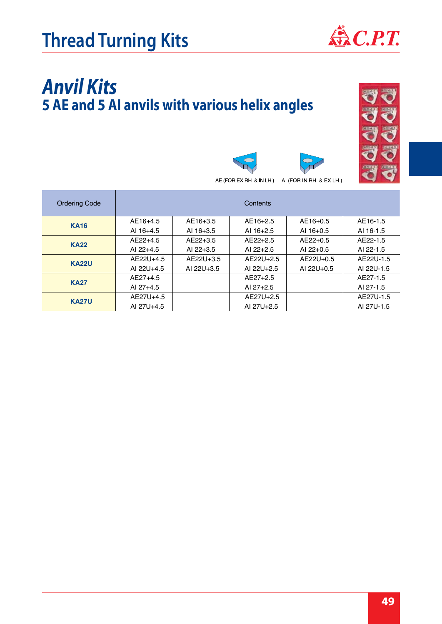

### *Anvil Kits* **5 AE and 5 AI anvils with various helix angles**



AE (FOR EX.RH. & IN.LH.) AI (FOR IN.RH. & EX.LH.)

| <b>Ordering Code</b> |             |             | Contents    |             |            |
|----------------------|-------------|-------------|-------------|-------------|------------|
| <b>KA16</b>          | AE16+4.5    | AE16+3.5    | AE16+2.5    | AE16+0.5    | AE16-1.5   |
|                      | AI 16+4.5   | AI 16+3.5   | AI $16+2.5$ | AI $16+0.5$ | AI 16-1.5  |
| <b>KA22</b>          | $AE22+4.5$  | AE22+3.5    | $AE22+2.5$  | $AE22+0.5$  | AE22-1.5   |
|                      | AI $22+4.5$ | AI $22+3.5$ | AI $22+2.5$ | AI $22+0.5$ | AI 22-1.5  |
| <b>KA22U</b>         | AF22U+4.5   | AF22U+3.5   | AE22U+2.5   | AF22U+0.5   | AE22U-1.5  |
|                      | AI 22U+4.5  | AI 22U+3.5  | AI 22U+2.5  | AI 22U+0.5  | AI 22U-1.5 |
| <b>KA27</b>          | AE27+4.5    |             | AE27+2.5    |             | AE27-1.5   |
|                      | AI 27+4.5   |             | AI 27+2.5   |             | AI 27-1.5  |
|                      | AE27U+4.5   |             | AE27U+2.5   |             | AE27U-1.5  |
| <b>KA27U</b>         | AI 27U+4.5  |             | AI 27U+2.5  |             | AI 27U-1.5 |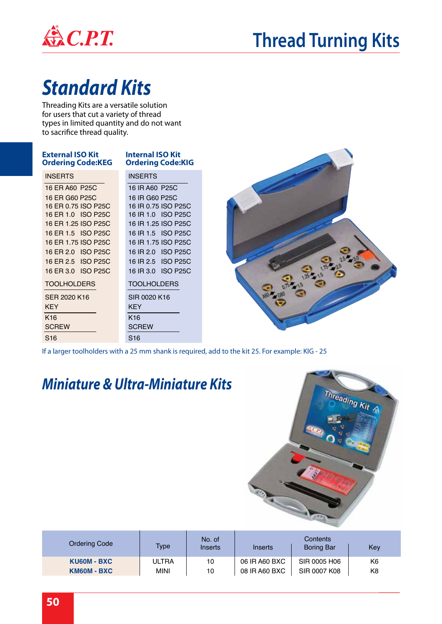

### **Thread Turning Kits**

## *Standard Kits*

Threading Kits are a versatile solution for users that cut a variety of thread types in limited quantity and do not want to sacrifice thread quality.

| <b>External ISO Kit</b><br><b>Ordering Code:KEG</b> | <b>Internal ISO Kit</b><br><b>Ordering Code:KIG</b> |
|-----------------------------------------------------|-----------------------------------------------------|
| <b>INSERTS</b>                                      | <b>INSERTS</b>                                      |
| 16 ER A60 P25C                                      | 16 IR A60 P25C                                      |
| 16 ER G60 P25C                                      | 16 IR G60 P25C                                      |
| 16 ER 0.75 ISO P25C                                 | 16 IR 0.75 ISO P25C                                 |
| 16 ER 1.0 ISO P25C                                  | 16 IR 1.0 ISO P25C                                  |
| 16 ER 1.25 ISO P25C                                 | 16 IR 1.25 ISO P25C                                 |
| 16 ER 1.5 ISO P25C                                  | 16 IR 1.5 ISO P25C                                  |
| 16 ER 1.75 ISO P25C                                 | 16 IR 1.75 ISO P25C                                 |
| 16 ER 2.0 ISO P25C                                  | 16 IR 2.0 ISO P25C                                  |
| 16 ER 2.5 ISO P25C                                  | 16 IR 2.5 ISO P25C                                  |
| 16 ER 3.0 ISO P25C                                  | 16 IR 3.0 ISO P25C                                  |
| <b>TOOLHOLDERS</b>                                  | <b>TOOLHOLDERS</b>                                  |
| SFR 2020 K16                                        | SIR 0020 K16                                        |
| <b>KEY</b>                                          | <b>KEY</b>                                          |
| K <sub>16</sub>                                     | K <sub>16</sub>                                     |
| <b>SCREW</b>                                        | <b>SCREW</b>                                        |
| S <sub>16</sub>                                     | S <sub>16</sub>                                     |

If a larger toolholders with a 25 mm shank is required, add to the kit 25. For example: KIG - 25

### *Miniature & Ultra-Miniature Kits*



| <b>Ordering Code</b> | Type         | No. of<br>Inserts | Inserts       | Contents<br><b>Boring Bar</b> | Key            |
|----------------------|--------------|-------------------|---------------|-------------------------------|----------------|
| KU60M - BXC          | <b>ULTRA</b> | 10                | 06 IR A60 BXC | SIR 0005 H06                  | K6             |
| KM60M - BXC          | <b>MINI</b>  | 10                | 08 IR A60 BXC | SIR 0007 K08                  | K <sub>8</sub> |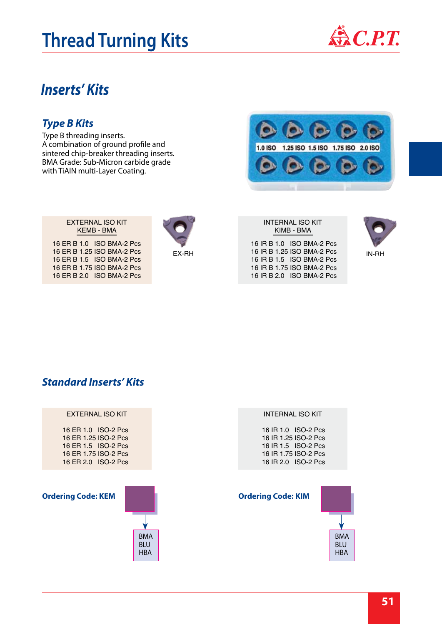### **Thread Turning Kits**

#### *Inserts' Kits*

#### *Type B Kits*

Type B threading inserts. A combination of ground profile and sintered chip-breaker threading inserts. BMA Grade: Sub-Micron carbide grade with TiAlN multi-Layer Coating.

> EXTERNAL ISO KIT KEMB - BMA

16 ER B 1.0 ISO BMA-2 Pcs 16 ER B 1.25 ISO BMA-2 Pcs 16 ER B 1.5 ISO BMA-2 Pcs 16 ER B 1.75 ISO BMA-2 Pcs 16 ER B 2.0 ISO BMA-2 Pcs









|       | KIMB - BMA                 |       |
|-------|----------------------------|-------|
|       | 16 IR B 1.0 ISO BMA-2 Pcs  |       |
| EX-RH | 16 IR B 1.25 ISO BMA-2 Pcs | IN-RH |
|       | 16 IR B 1.5 ISO BMA-2 Pcs  |       |
|       | 16 IR B 1.75 ISO BMA-2 Pcs |       |
|       | 16 IR B 2.0 ISO BMA-2 Pcs  |       |

INTERNAL ISO KIT